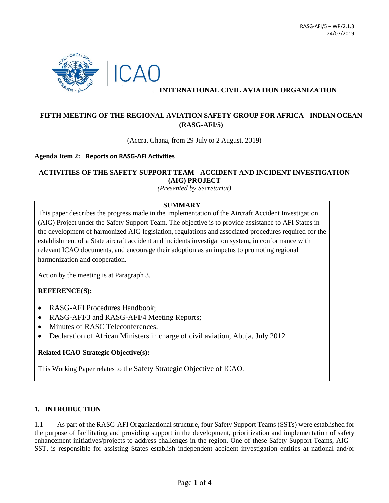

## **INTERNATIONAL CIVIL AVIATION ORGANIZATION**

# **FIFTH MEETING OF THE REGIONAL AVIATION SAFETY GROUP FOR AFRICA - INDIAN OCEAN (RASG-AFI/5)**

(Accra, Ghana, from 29 July to 2 August, 2019)

#### **Agenda Item 2: Reports on RASG-AFI Activities**

### **ACTIVITIES OF THE SAFETY SUPPORT TEAM - ACCIDENT AND INCIDENT INVESTIGATION (AIG) PROJECT**

*(Presented by Secretariat)*

#### **SUMMARY**

This paper describes the progress made in the implementation of the Aircraft Accident Investigation (AIG) Project under the Safety Support Team. The objective is to provide assistance to AFI States in the development of harmonized AIG legislation, regulations and associated procedures required for the establishment of a State aircraft accident and incidents investigation system, in conformance with relevant ICAO documents, and encourage their adoption as an impetus to promoting regional harmonization and cooperation.

Action by the meeting is at Paragraph 3.

#### **REFERENCE(S):**

- RASG-AFI Procedures Handbook;
- RASG-AFI/3 and RASG-AFI/4 Meeting Reports;
- Minutes of RASC Teleconferences.
- Declaration of African Ministers in charge of civil aviation, Abuja, July 2012

#### **Related ICAO Strategic Objective(s):**

This Working Paper relates to the Safety Strategic Objective of ICAO.

#### **1. INTRODUCTION**

1.1 As part of the RASG-AFI Organizational structure, four Safety Support Teams (SSTs) were established for the purpose of facilitating and providing support in the development, prioritization and implementation of safety enhancement initiatives/projects to address challenges in the region. One of these Safety Support Teams, AIG – SST, is responsible for assisting States establish independent accident investigation entities at national and/or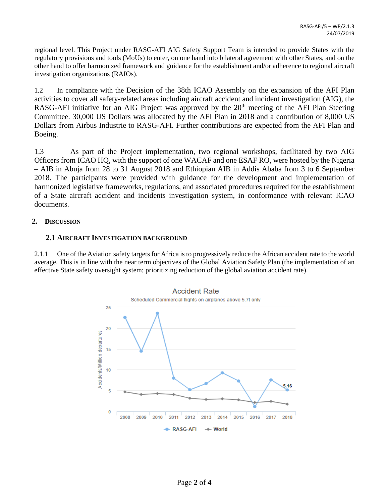regional level. This Project under RASG-AFI AIG Safety Support Team is intended to provide States with the regulatory provisions and tools (MoUs) to enter, on one hand into bilateral agreement with other States, and on the other hand to offer harmonized framework and guidance for the establishment and/or adherence to regional aircraft investigation organizations (RAIOs).

1.2 In compliance with the Decision of the 38th ICAO Assembly on the expansion of the AFI Plan activities to cover all safety-related areas including aircraft accident and incident investigation (AIG), the RASG-AFI initiative for an AIG Project was approved by the 20<sup>th</sup> meeting of the AFI Plan Steering Committee. 30,000 US Dollars was allocated by the AFI Plan in 2018 and a contribution of 8,000 US Dollars from Airbus Industrie to RASG-AFI. Further contributions are expected from the AFI Plan and Boeing.

1.3 As part of the Project implementation, two regional workshops, facilitated by two AIG Officers from ICAO HQ, with the support of one WACAF and one ESAF RO, were hosted by the Nigeria – AIB in Abuja from 28 to 31 August 2018 and Ethiopian AIB in Addis Ababa from 3 to 6 September 2018. The participants were provided with guidance for the development and implementation of harmonized legislative frameworks, regulations, and associated procedures required for the establishment of a State aircraft accident and incidents investigation system, in conformance with relevant ICAO documents.

# **2. DISCUSSION**

## **2.1 AIRCRAFT INVESTIGATION BACKGROUND**

2.1.1 One of the Aviation safety targets for Africa is to progressively reduce the African accident rate to the world average. This is in line with the near term objectives of the Global Aviation Safety Plan (the implementation of an effective State safety oversight system; prioritizing reduction of the global aviation accident rate).

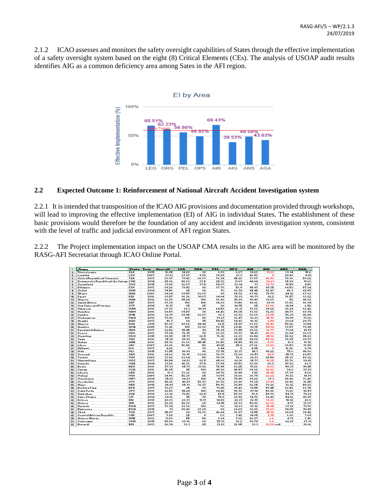2.1.2 ICAO assesses and monitors the safety oversight capabilities of States through the effective implementation of a safety oversight system based on the eight (8) Critical Elements (CEs). The analysis of USOAP audit results identifies AIG as a common deficiency area among Sates in the AFI region.



#### **2.2 Expected Outcome 1: Reinforcement of National Aircraft Accident Investigation system**

2.2.1 It is intended that transposition of the ICAO AIG provisions and documentation provided through workshops, will lead to improving the effective implementation (EI) of AIG in individual States. The establishment of these basic provisions would therefore be the foundation of any accident and incidents investigation system, consistent with the level of traffic and judicial environment of AFI region States.

2.2.2 The Project implementation impact on the USOAP CMA results in the AIG area will be monitored by the RASG-AFI Secretariat through ICAO Online Portal.

| $\overline{1}$           | <b>Mana</b>                          | State Tear |      | Overall | <b>LEG</b> | ORG      | PEL    | <b>OPS</b> | <b>AIR</b> | <b>AIG</b> | <b>AHS</b> | <b>A6A</b> |
|--------------------------|--------------------------------------|------------|------|---------|------------|----------|--------|------------|------------|------------|------------|------------|
| z                        | <b>Sierra Leane</b>                  | <b>SLE</b> | 2015 | 18.05   | 14.29      | 30       | 8.33   | 6.67       | 19.23      | 11.83      | 33.14      | 15.6       |
|                          | Loratha                              | <b>LSO</b> | 2007 | 21.81   | 27.27      | 9.09     | 39.29  | 21.3       | 46.53      | ۰          | 24.43      | 4.41       |
| ٠                        | United Republic of Tanzania          | TZA        | 2017 | 63.97   | 71.43      | 66.67    | 76.34  | 45.26      | 87.07      | 46.08      | 70.86      | 58.22      |
| s.                       | Domacratic Republic of the Canga COD |            | 2014 | 25.82   | 52.63      | 37.5     | 25.32  | 11.67      | 44.04      | 20.21      | 35.29      | 11.68      |
| Е                        | Suaziland                            | swz        | 2015 | 31.08   | 66.67      | 37.5     | 65.67  | 23.14      | 71         | 39.78      | 10.59      | 4.58       |
| z.                       | Ethiopia                             | <b>ETH</b> | 2017 | 69.28   | 71.43      | 80       | 87.78  | 53.9       | 95.97      | 65.35      | 64.53      | 57.24      |
| ٠                        | Sudan                                | SDN        | 2014 | 74.56   | 85         | 80       | 76     | 83.74      | 95.45      | 92.47      | 49.7       | 65.47      |
| $\overline{\phantom{a}}$ | Ghana                                | <b>GHA</b> | 2006 | 64.84   | 69.57      | 66.67    | \$0\$  | 65.32      | 67.92      | 79.79      | 44.12      | 67.63      |
| 18                       | Eavet                                | EGY        | 2016 | 83.57   | 86.36      | 91.67    | 84.04  | 76.81      | 98.71      | 80.2       | 76.57      | 83.22      |
| 11                       | <b>Nigeria</b>                       | NGA        | 2016 | 66.93   | 95.24      | 100      | 86.08  | 56.91      | 90.48      | \$1.37     | 52         | 49.33      |
| 12                       | Sauth Africa                         | ZAF        | 2017 | \$7.39  | 100        | 100      | \$4.38 | 81.56      | 90.86      | 89.11      | 87.06      | 86.84      |
| 13                       | SaaTamo and Principo                 | STP        | 2014 | 18.17   | 35         | 25       | 30     | 14.75      | 25         | 23.66      | 14.94      | 6.52       |
| $\ddot{\phantom{0}}$     | Maracca                              | MAR        | 2016 | 67.73   | 38.1       | 90.91    | 64.58  | 36.11      | 78.33      | 89.22      | 82.29      | 62.42      |
| 15                       | Namibia                              | <b>NAM</b> | 2016 | 60.57   | 69.57      | 30       | 65.43  | 59.35      | 73.83      | 72.83      | 44.77      | 60.74      |
| 15                       | Zambia                               | ZMB        | 2016 | 62.17   | 80.95      | 66.67    | 83.1   | 68.33      | 88.68      | 30.95      | 56.21      | 48.09      |
| 12                       | Madagarcar                           | MDG        | 2018 | 78.08   | 100        | 90       | 78.21  | 83.47      | \$3.81     | 45.16      | 90.91      | 71.32      |
| 18                       | Angola                               | AGO        | 2017 | 48.7    | 80         | 75       | 54.43  | 84.43      | 98.13      | 6.59       | 21.64      | 29.77      |
| 13                       | Algeria                              | DZA        | 2011 | 58.83   | 47.62      | 44.44    | 62.5   | 65.29      | 67.83      | 35.48      | 59.06      | 61.54      |
| 28                       | Gambia                               | GMB        | 2005 | 78.46   | 100        | \$\$.\$9 | 93.75  | 64.46      | 91.35      | 54.84      | 87.57      | 73.05      |
| 21                       | Equatorial Guinea                    | <b>GNQ</b> | 2017 | 62.52   | 95.45      | 90       | 75.34  | 73.55      | 89.32      | 12.77      | 71.34      | 41.91      |
| 22                       | Kenya                                | KEN        | 2013 | 77.84   | 76.19      | 70       | 83.33  | 70.73      | 95.41      | 40.86      | 83.04      | 86.67      |
| 25                       | Mauritiur                            | MUS        | 2015 | 69.99   | 85.71      | 62.5     | 76.12  | 68.33      | 86.54      | 45.16      | 52.02      | 95.28      |
| 24                       | Taga                                 | TGO        | 2016 | 85.19   | 90.91      | 100      | 88     | 85.25      | 94.39      | 55.32      | 89.35      | 89.78      |
| 25                       | Gabon                                | GAB        | 2016 | 25.7%   | 66.67      | 45.45    | 26.58  | 35.59      | 52.38      | 5.38       | 13.1       | 18.12      |
| 25                       | Libya                                | <b>LBY</b> | 2007 | 28.86   | 56.52      | 50       | 41.25  | 25.2       | 27.36      | 18.28      | 39.53      | 13.99      |
| 22                       | Diibauti                             | DJI        | 2017 | 4.22    | o.         | 30       | 2.44   | o.         | 4.95       | ۰          | 12.26      | 0.79       |
| 28.                      | Mali                                 | MLI        | 2015 | 73.55   | 90.91      | 90       | 73.75  | 72.17      | 95.1       | 90.22      | 75.6       | 40.88      |
| 25                       | Senegal                              | <b>SEN</b> | 2016 | 64.68   | 76.19      | 63.64    | 70.37  | 73.39      | 80.51      | 54.9       | 45.71      | 69.57      |
| 38                       | Tunizia                              | TUN        | 2009 | 73.02   | 63.64      | 50       | 70.89  | 72.8       | 89.81      | 65.59      | \$5.88     | 53.62      |
| 31                       | Maxambiaue                           | MOZ        | 2017 | 50.54   | 84.21      | 62.5     | 45.68  | 60.16      | 85.71      | 19.35      | 53.76      | 29.41      |
| 52                       | Uganda                               | UGA        | 2014 | 61.26   | 42.86      | \$7.5    | 67.09  | 47.58      | 82.86      | 66.3       | 47.62      | 68.7       |
| 33                       | Benin                                | BEN        | 2016 | 57.81   | 85.71      | \$1.82   | 75.95  | 63.25      | 91.26      | 11.83      | 50.31      | 51.45      |
| 34                       | Canaa                                | cog        | 2016 | 46.65   | 95         | 100      | 49.38  | 49.57      | 89.32      | 29.03      | 34.3       | 27.01      |
| 35                       | Liberia                              | <b>LBR</b> | 2016 | 18.1    | 33.33      | 20       | 24.72  | 13.49      | 1.92       | 15.05      | 37.79      | 5.63       |
| 36                       | Malaui                               | MWI        | 2009 | 34.96   | 52.38      | 25       | 61.97  | 38.66      | 36.79      | 22.22      | 41.32      | 14.71      |
| 52                       | Mauritania                           | MBT        | 2014 | 85.61   | \$4.21     | 100      | 97.4   | 79.49      | \$9.22     | $*7.1$     | 90.48      | 73.48      |
| 38                       | Seycheller                           | SYC        | 2018 | 40.32   | 40.91      | 58.33    | 28.72  | 28.06      | 70.34      | 29.41      | 60.92      | 16.55      |
| 33                       | <b>Niger</b>                         | <b>NER</b> | 2015 | 65.01   | 85.71      | 72.73    | 59.76  | 36.59      | 82.35      | 78.26      | 72.12      | 59.23      |
| 48                       | <b>Burking Fara</b>                  | BFA        | 2017 | 73.27   | 85         | 80       | 71.25  | 89.43      | \$1.55     | 57.45      | 68.52      | 68.75      |
| $\blacksquare$           | Caba Vordo                           | <b>CPV</b> | 2018 | 82.53   | 95.24      | 100      | 84.42  | 90.76      | 97.14      | 58.06      | 71.26      | 90.51      |
| 42                       | Zimbabue                             | ZWE        | 2010 | 63.12   | 71.43      | 62.5     | 57.5   | 57.38      | 78.9       | 59.78      | 54.71      | 70.21      |
| 43                       | Cate d'Ivaire                        | CIV        | 2014 | 64.16   | 95         | 80       | 75.9   | 69.92      | 74.76      | 80.43      | 54.12      | 40.97      |
| 44                       | Eritroa                              | ERI        | 2010 | 20.83   | 23.81      | 11.11    | 14.08  | 22.31      | 36.19      | 18.28      | 15.12      | 20.3       |
| 45                       | Guinea                               | GIN        | 2016 | 22.39   | 52.38      | 20       | 34.15  | 20.33      | 50.98      | 22.83      | 4.17       | 13.67      |
| 45                       | Ruanda                               | <b>BWA</b> | 2017 | 73.74   | \$3.33     | 100      | 68     | 82.61      | 97.12      | 15.05      | 87.21      | 71.76      |
| 42                       | Batruana                             | BWA        | 2015 | 71      | 90.48      | \$\$.\$9 | 80     | 68.29      | 82.08      | 70.33      | 74.25      | 51.49      |
| 48                       | Chad                                 | <b>TCD</b> | 2017 | 45.07   | 80         | 72.73    | 40.24  | 36.07      | \$1.55     | 45.16      | 30.64      | 39.42      |
| 43                       | Contral African Ropublic             | CAF        | 2007 | 7.29    | 25         | o.       | 1.3    | 3.42       | 14.85      | 2.15       | 8.88       | 7.69       |
| 58                       | Guinea-Bizzau                        | <b>GNB</b> | 2013 | 11.28   | 55         | 50       | 8.64   | 7.32       | 26.97      | 8.6        | 4.71       | 7.46       |
|                          | Comeraan                             | CMR        | 2015 | 59.69   | 68.18      | 60       | 75.31  | \$3.2      | 89.74      | 8.6        | 62.21      | 37.11      |
| 54<br>52                 | Burundi                              | BDI        | 2013 | 26.74   | 38.1       | 25       | 21.21  | 22.95      | 38.1       | 30.39 pull |            | 19.86      |
|                          |                                      |            |      |         |            |          |        |            |            |            |            |            |